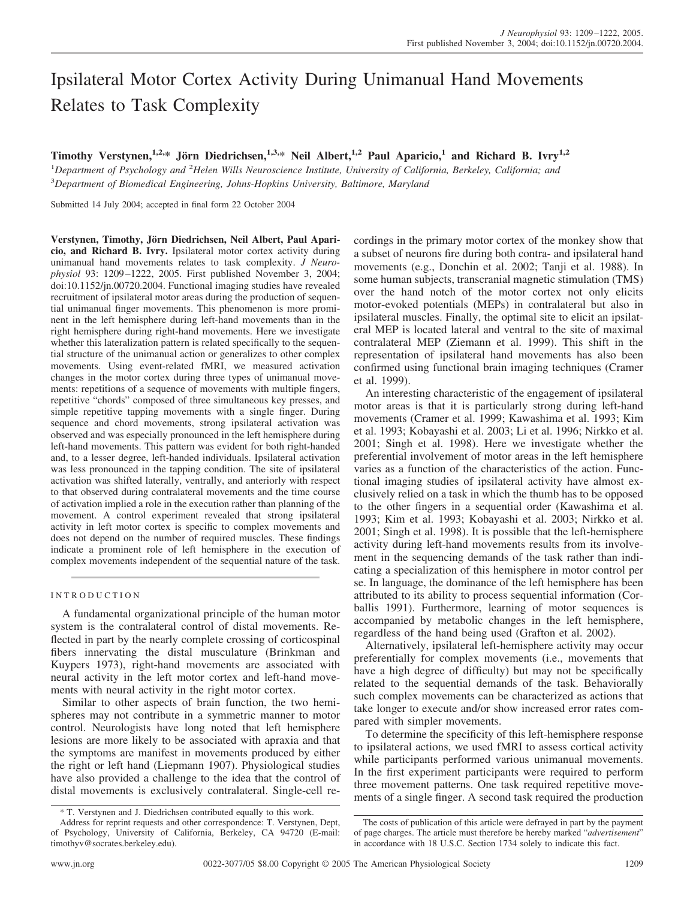# Ipsilateral Motor Cortex Activity During Unimanual Hand Movements Relates to Task Complexity

**Timothy Verstynen,**<sup>1,2,\*</sup> Jörn Diedrichsen,<sup>1,3,\*</sup> Neil Albert,<sup>1,2</sup> Paul Aparicio,<sup>1</sup> and Richard B. Ivry<sup>1,2</sup>

<sup>1</sup>Department of Psychology and <sup>2</sup>Helen Wills Neuroscience Institute, University of California, Berkeley, California; and 3 *Department of Biomedical Engineering, Johns-Hopkins University, Baltimore, Maryland*

Submitted 14 July 2004; accepted in final form 22 October 2004

Verstynen, Timothy, Jörn Diedrichsen, Neil Albert, Paul Apari**cio, and Richard B. Ivry.** Ipsilateral motor cortex activity during unimanual hand movements relates to task complexity. *J Neurophysiol* 93: 1209 –1222, 2005. First published November 3, 2004; doi:10.1152/jn.00720.2004. Functional imaging studies have revealed recruitment of ipsilateral motor areas during the production of sequential unimanual finger movements. This phenomenon is more prominent in the left hemisphere during left-hand movements than in the right hemisphere during right-hand movements. Here we investigate whether this lateralization pattern is related specifically to the sequential structure of the unimanual action or generalizes to other complex movements. Using event-related fMRI, we measured activation changes in the motor cortex during three types of unimanual movements: repetitions of a sequence of movements with multiple fingers, repetitive "chords" composed of three simultaneous key presses, and simple repetitive tapping movements with a single finger. During sequence and chord movements, strong ipsilateral activation was observed and was especially pronounced in the left hemisphere during left-hand movements. This pattern was evident for both right-handed and, to a lesser degree, left-handed individuals. Ipsilateral activation was less pronounced in the tapping condition. The site of ipsilateral activation was shifted laterally, ventrally, and anteriorly with respect to that observed during contralateral movements and the time course of activation implied a role in the execution rather than planning of the movement. A control experiment revealed that strong ipsilateral activity in left motor cortex is specific to complex movements and does not depend on the number of required muscles. These findings indicate a prominent role of left hemisphere in the execution of complex movements independent of the sequential nature of the task.

## INTRODUCTION

A fundamental organizational principle of the human motor system is the contralateral control of distal movements. Reflected in part by the nearly complete crossing of corticospinal fibers innervating the distal musculature (Brinkman and Kuypers 1973), right-hand movements are associated with neural activity in the left motor cortex and left-hand movements with neural activity in the right motor cortex.

Similar to other aspects of brain function, the two hemispheres may not contribute in a symmetric manner to motor control. Neurologists have long noted that left hemisphere lesions are more likely to be associated with apraxia and that the symptoms are manifest in movements produced by either the right or left hand (Liepmann 1907). Physiological studies have also provided a challenge to the idea that the control of distal movements is exclusively contralateral. Single-cell recordings in the primary motor cortex of the monkey show that a subset of neurons fire during both contra- and ipsilateral hand movements (e.g., Donchin et al. 2002; Tanji et al. 1988). In some human subjects, transcranial magnetic stimulation (TMS) over the hand notch of the motor cortex not only elicits motor-evoked potentials (MEPs) in contralateral but also in ipsilateral muscles. Finally, the optimal site to elicit an ipsilateral MEP is located lateral and ventral to the site of maximal contralateral MEP (Ziemann et al. 1999). This shift in the representation of ipsilateral hand movements has also been confirmed using functional brain imaging techniques (Cramer et al. 1999).

An interesting characteristic of the engagement of ipsilateral motor areas is that it is particularly strong during left-hand movements (Cramer et al. 1999; Kawashima et al. 1993; Kim et al. 1993; Kobayashi et al. 2003; Li et al. 1996; Nirkko et al. 2001; Singh et al. 1998). Here we investigate whether the preferential involvement of motor areas in the left hemisphere varies as a function of the characteristics of the action. Functional imaging studies of ipsilateral activity have almost exclusively relied on a task in which the thumb has to be opposed to the other fingers in a sequential order (Kawashima et al. 1993; Kim et al. 1993; Kobayashi et al. 2003; Nirkko et al. 2001; Singh et al. 1998). It is possible that the left-hemisphere activity during left-hand movements results from its involvement in the sequencing demands of the task rather than indicating a specialization of this hemisphere in motor control per se. In language, the dominance of the left hemisphere has been attributed to its ability to process sequential information (Corballis 1991). Furthermore, learning of motor sequences is accompanied by metabolic changes in the left hemisphere, regardless of the hand being used (Grafton et al. 2002).

Alternatively, ipsilateral left-hemisphere activity may occur preferentially for complex movements (i.e., movements that have a high degree of difficulty) but may not be specifically related to the sequential demands of the task. Behaviorally such complex movements can be characterized as actions that take longer to execute and/or show increased error rates compared with simpler movements.

To determine the specificity of this left-hemisphere response to ipsilateral actions, we used fMRI to assess cortical activity while participants performed various unimanual movements. In the first experiment participants were required to perform three movement patterns. One task required repetitive movements of a single finger. A second task required the production

<sup>\*</sup> T. Verstynen and J. Diedrichsen contributed equally to this work.

Address for reprint requests and other correspondence: T. Verstynen, Dept, of Psychology, University of California, Berkeley, CA 94720 (E-mail: timothyv@socrates.berkeley.edu).

The costs of publication of this article were defrayed in part by the payment of page charges. The article must therefore be hereby marked "*advertisement*" in accordance with 18 U.S.C. Section 1734 solely to indicate this fact.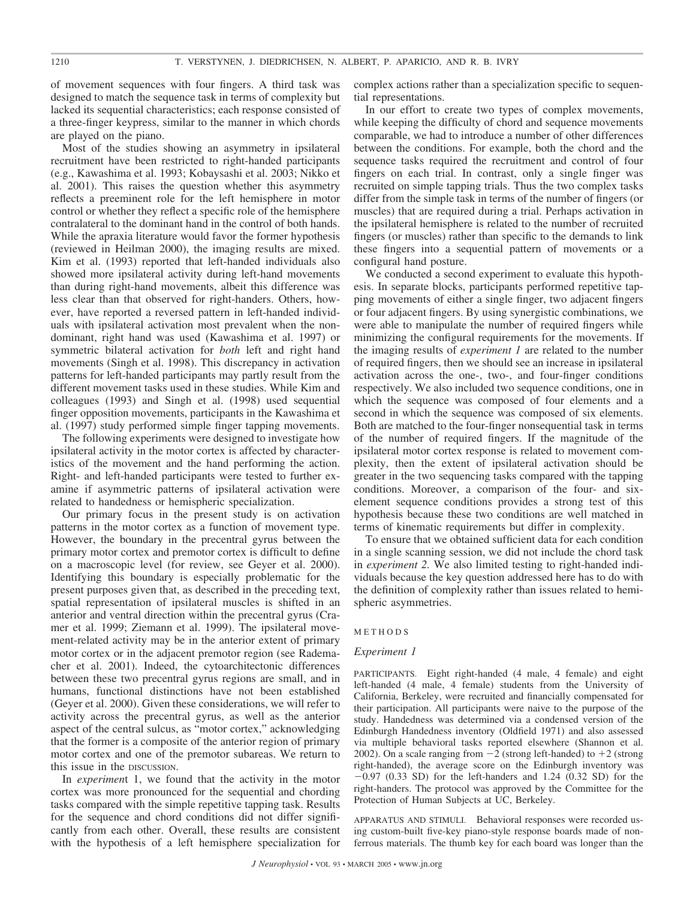of movement sequences with four fingers. A third task was designed to match the sequence task in terms of complexity but lacked its sequential characteristics; each response consisted of a three-finger keypress, similar to the manner in which chords are played on the piano.

Most of the studies showing an asymmetry in ipsilateral recruitment have been restricted to right-handed participants (e.g., Kawashima et al. 1993; Kobaysashi et al. 2003; Nikko et al. 2001). This raises the question whether this asymmetry reflects a preeminent role for the left hemisphere in motor control or whether they reflect a specific role of the hemisphere contralateral to the dominant hand in the control of both hands. While the apraxia literature would favor the former hypothesis (reviewed in Heilman 2000), the imaging results are mixed. Kim et al. (1993) reported that left-handed individuals also showed more ipsilateral activity during left-hand movements than during right-hand movements, albeit this difference was less clear than that observed for right-handers. Others, however, have reported a reversed pattern in left-handed individuals with ipsilateral activation most prevalent when the nondominant, right hand was used (Kawashima et al. 1997) or symmetric bilateral activation for *both* left and right hand movements (Singh et al. 1998). This discrepancy in activation patterns for left-handed participants may partly result from the different movement tasks used in these studies. While Kim and colleagues (1993) and Singh et al. (1998) used sequential finger opposition movements, participants in the Kawashima et al. (1997) study performed simple finger tapping movements.

The following experiments were designed to investigate how ipsilateral activity in the motor cortex is affected by characteristics of the movement and the hand performing the action. Right- and left-handed participants were tested to further examine if asymmetric patterns of ipsilateral activation were related to handedness or hemispheric specialization.

Our primary focus in the present study is on activation patterns in the motor cortex as a function of movement type. However, the boundary in the precentral gyrus between the primary motor cortex and premotor cortex is difficult to define on a macroscopic level (for review, see Geyer et al. 2000). Identifying this boundary is especially problematic for the present purposes given that, as described in the preceding text, spatial representation of ipsilateral muscles is shifted in an anterior and ventral direction within the precentral gyrus (Cramer et al. 1999; Ziemann et al. 1999). The ipsilateral movement-related activity may be in the anterior extent of primary motor cortex or in the adjacent premotor region (see Rademacher et al. 2001). Indeed, the cytoarchitectonic differences between these two precentral gyrus regions are small, and in humans, functional distinctions have not been established (Geyer et al. 2000). Given these considerations, we will refer to activity across the precentral gyrus, as well as the anterior aspect of the central sulcus, as "motor cortex," acknowledging that the former is a composite of the anterior region of primary motor cortex and one of the premotor subareas. We return to this issue in the DISCUSSION.

In *experimen*t 1, we found that the activity in the motor cortex was more pronounced for the sequential and chording tasks compared with the simple repetitive tapping task. Results for the sequence and chord conditions did not differ significantly from each other. Overall, these results are consistent with the hypothesis of a left hemisphere specialization for complex actions rather than a specialization specific to sequential representations.

In our effort to create two types of complex movements, while keeping the difficulty of chord and sequence movements comparable, we had to introduce a number of other differences between the conditions. For example, both the chord and the sequence tasks required the recruitment and control of four fingers on each trial. In contrast, only a single finger was recruited on simple tapping trials. Thus the two complex tasks differ from the simple task in terms of the number of fingers (or muscles) that are required during a trial. Perhaps activation in the ipsilateral hemisphere is related to the number of recruited fingers (or muscles) rather than specific to the demands to link these fingers into a sequential pattern of movements or a configural hand posture.

We conducted a second experiment to evaluate this hypothesis. In separate blocks, participants performed repetitive tapping movements of either a single finger, two adjacent fingers or four adjacent fingers. By using synergistic combinations, we were able to manipulate the number of required fingers while minimizing the configural requirements for the movements. If the imaging results of *experiment 1* are related to the number of required fingers, then we should see an increase in ipsilateral activation across the one-, two-, and four-finger conditions respectively. We also included two sequence conditions, one in which the sequence was composed of four elements and a second in which the sequence was composed of six elements. Both are matched to the four-finger nonsequential task in terms of the number of required fingers. If the magnitude of the ipsilateral motor cortex response is related to movement complexity, then the extent of ipsilateral activation should be greater in the two sequencing tasks compared with the tapping conditions. Moreover, a comparison of the four- and sixelement sequence conditions provides a strong test of this hypothesis because these two conditions are well matched in terms of kinematic requirements but differ in complexity.

To ensure that we obtained sufficient data for each condition in a single scanning session, we did not include the chord task in *experiment 2.* We also limited testing to right-handed individuals because the key question addressed here has to do with the definition of complexity rather than issues related to hemispheric asymmetries.

#### METHODS

#### *Experiment 1*

PARTICIPANTS. Eight right-handed (4 male, 4 female) and eight left-handed (4 male, 4 female) students from the University of California, Berkeley, were recruited and financially compensated for their participation. All participants were naive to the purpose of the study. Handedness was determined via a condensed version of the Edinburgh Handedness inventory (Oldfield 1971) and also assessed via multiple behavioral tasks reported elsewhere (Shannon et al. 2002). On a scale ranging from  $-2$  (strong left-handed) to  $+2$  (strong right-handed), the average score on the Edinburgh inventory was  $-0.97$  (0.33 SD) for the left-handers and 1.24 (0.32 SD) for the right-handers. The protocol was approved by the Committee for the Protection of Human Subjects at UC, Berkeley.

APPARATUS AND STIMULI. Behavioral responses were recorded using custom-built five-key piano-style response boards made of nonferrous materials. The thumb key for each board was longer than the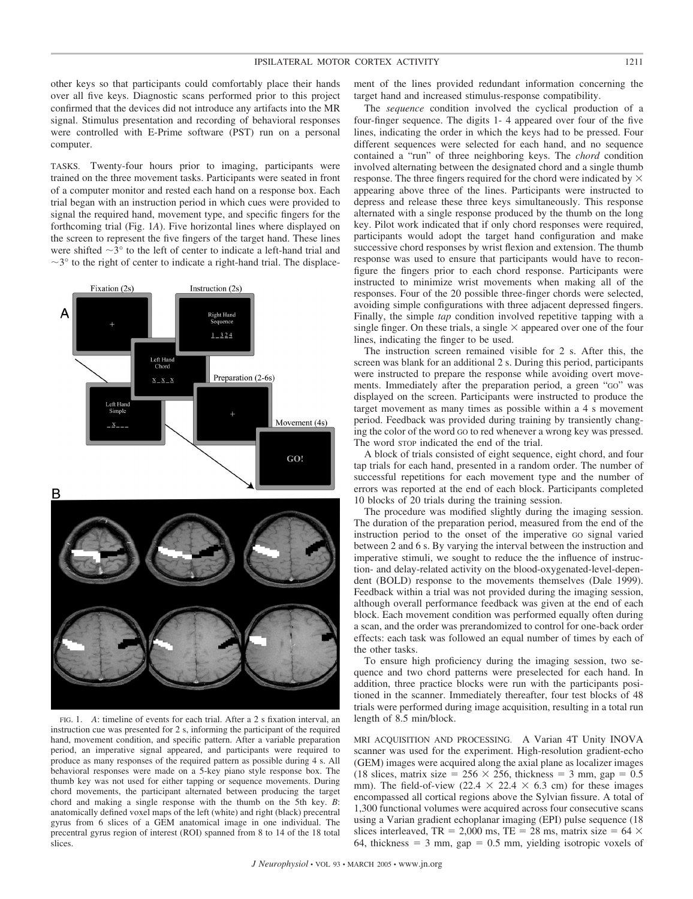other keys so that participants could comfortably place their hands over all five keys. Diagnostic scans performed prior to this project confirmed that the devices did not introduce any artifacts into the MR signal. Stimulus presentation and recording of behavioral responses were controlled with E-Prime software (PST) run on a personal computer.

TASKS. Twenty-four hours prior to imaging, participants were trained on the three movement tasks. Participants were seated in front of a computer monitor and rested each hand on a response box. Each trial began with an instruction period in which cues were provided to signal the required hand, movement type, and specific fingers for the forthcoming trial (Fig. 1*A*). Five horizontal lines where displayed on the screen to represent the five fingers of the target hand. These lines were shifted  $\sim$ 3 $\degree$  to the left of center to indicate a left-hand trial and  $\sim$ 3 $\degree$  to the right of center to indicate a right-hand trial. The displace-



FIG. 1. A: timeline of events for each trial. After a 2 s fixation interval, an instruction cue was presented for 2 s, informing the participant of the required hand, movement condition, and specific pattern. After a variable preparation period, an imperative signal appeared, and participants were required to produce as many responses of the required pattern as possible during 4 s. All behavioral responses were made on a 5-key piano style response box. The thumb key was not used for either tapping or sequence movements. During chord movements, the participant alternated between producing the target chord and making a single response with the thumb on the 5th key. *B*: anatomically defined voxel maps of the left (white) and right (black) precentral gyrus from 6 slices of a GEM anatomical image in one individual. The precentral gyrus region of interest (ROI) spanned from 8 to 14 of the 18 total slices.

ment of the lines provided redundant information concerning the target hand and increased stimulus-response compatibility.

The *sequence* condition involved the cyclical production of a four-finger sequence. The digits 1- 4 appeared over four of the five lines, indicating the order in which the keys had to be pressed. Four different sequences were selected for each hand, and no sequence contained a "run" of three neighboring keys. The *chord* condition involved alternating between the designated chord and a single thumb response. The three fingers required for the chord were indicated by  $\times$ appearing above three of the lines. Participants were instructed to depress and release these three keys simultaneously. This response alternated with a single response produced by the thumb on the long key. Pilot work indicated that if only chord responses were required, participants would adopt the target hand configuration and make successive chord responses by wrist flexion and extension. The thumb response was used to ensure that participants would have to reconfigure the fingers prior to each chord response. Participants were instructed to minimize wrist movements when making all of the responses. Four of the 20 possible three-finger chords were selected, avoiding simple configurations with three adjacent depressed fingers. Finally, the simple *tap* condition involved repetitive tapping with a single finger. On these trials, a single  $\times$  appeared over one of the four lines, indicating the finger to be used.

The instruction screen remained visible for 2 s. After this, the screen was blank for an additional 2 s. During this period, participants were instructed to prepare the response while avoiding overt movements. Immediately after the preparation period, a green "GO" was displayed on the screen. Participants were instructed to produce the target movement as many times as possible within a  $4\overline{s}$  movement period. Feedback was provided during training by transiently changing the color of the word GO to red whenever a wrong key was pressed. The word STOP indicated the end of the trial.

A block of trials consisted of eight sequence, eight chord, and four tap trials for each hand, presented in a random order. The number of successful repetitions for each movement type and the number of errors was reported at the end of each block. Participants completed 10 blocks of 20 trials during the training session.

The procedure was modified slightly during the imaging session. The duration of the preparation period, measured from the end of the instruction period to the onset of the imperative GO signal varied between 2 and 6 s. By varying the interval between the instruction and imperative stimuli, we sought to reduce the the influence of instruction- and delay-related activity on the blood-oxygenated-level-dependent (BOLD) response to the movements themselves (Dale 1999). Feedback within a trial was not provided during the imaging session, although overall performance feedback was given at the end of each block. Each movement condition was performed equally often during a scan, and the order was prerandomized to control for one-back order effects: each task was followed an equal number of times by each of the other tasks.

To ensure high proficiency during the imaging session, two sequence and two chord patterns were preselected for each hand. In addition, three practice blocks were run with the participants positioned in the scanner. Immediately thereafter, four test blocks of 48 trials were performed during image acquisition, resulting in a total run length of 8.5 min/block.

MRI ACQUISITION AND PROCESSING. A Varian 4T Unity INOVA scanner was used for the experiment. High-resolution gradient-echo (GEM) images were acquired along the axial plane as localizer images (18 slices, matrix size =  $256 \times 256$ , thickness = 3 mm, gap = 0.5 mm). The field-of-view (22.4  $\times$  22.4  $\times$  6.3 cm) for these images encompassed all cortical regions above the Sylvian fissure. A total of 1,300 functional volumes were acquired across four consecutive scans using a Varian gradient echoplanar imaging (EPI) pulse sequence (18 slices interleaved, TR = 2,000 ms, TE = 28 ms, matrix size = 64  $\times$ 64, thickness  $= 3$  mm, gap  $= 0.5$  mm, yielding isotropic voxels of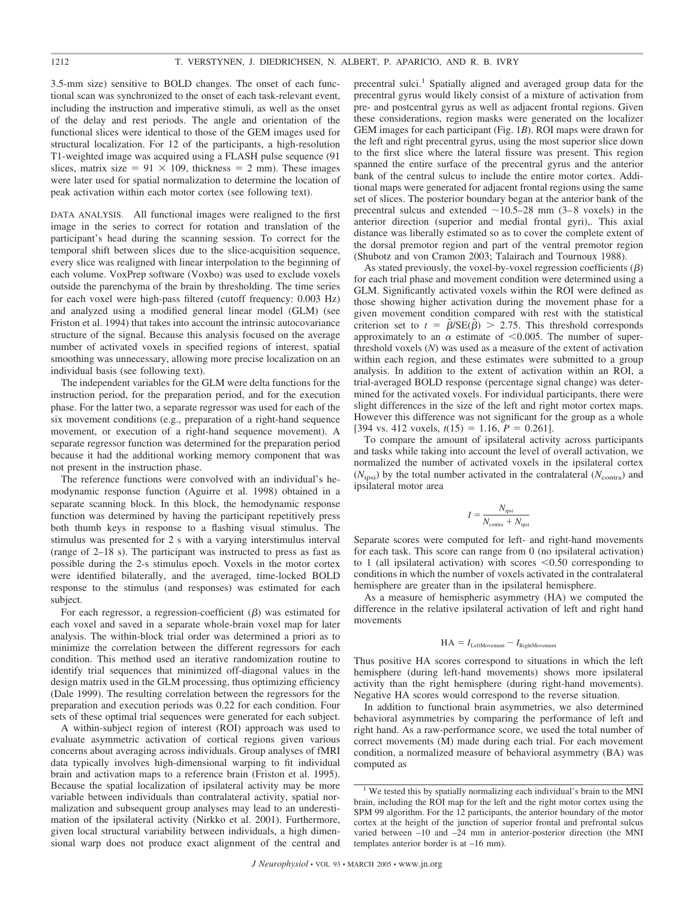3.5-mm size) sensitive to BOLD changes. The onset of each functional scan was synchronized to the onset of each task-relevant event, including the instruction and imperative stimuli, as well as the onset of the delay and rest periods. The angle and orientation of the functional slices were identical to those of the GEM images used for structural localization. For 12 of the participants, a high-resolution T1-weighted image was acquired using a FLASH pulse sequence (91 slices, matrix size =  $91 \times 109$ , thickness = 2 mm). These images were later used for spatial normalization to determine the location of peak activation within each motor cortex (see following text).

DATA ANALYSIS. All functional images were realigned to the first image in the series to correct for rotation and translation of the participant's head during the scanning session. To correct for the temporal shift between slices due to the slice-acquisition sequence, every slice was realigned with linear interpolation to the beginning of each volume. VoxPrep software (Voxbo) was used to exclude voxels outside the parenchyma of the brain by thresholding. The time series for each voxel were high-pass filtered (cutoff frequency: 0.003 Hz) and analyzed using a modified general linear model (GLM) (see Friston et al. 1994) that takes into account the intrinsic autocovariance structure of the signal. Because this analysis focused on the average number of activated voxels in specified regions of interest, spatial smoothing was unnecessary, allowing more precise localization on an individual basis (see following text).

The independent variables for the GLM were delta functions for the instruction period, for the preparation period, and for the execution phase. For the latter two, a separate regressor was used for each of the six movement conditions (e.g., preparation of a right-hand sequence movement, or execution of a right-hand sequence movement). A separate regressor function was determined for the preparation period because it had the additional working memory component that was not present in the instruction phase.

The reference functions were convolved with an individual's hemodynamic response function (Aguirre et al. 1998) obtained in a separate scanning block. In this block, the hemodynamic response function was determined by having the participant repetitively press both thumb keys in response to a flashing visual stimulus. The stimulus was presented for 2 s with a varying interstimulus interval (range of 2–18 s). The participant was instructed to press as fast as possible during the 2-s stimulus epoch. Voxels in the motor cortex were identified bilaterally, and the averaged, time-locked BOLD response to the stimulus (and responses) was estimated for each subject.

For each regressor, a regression-coefficient  $(\beta)$  was estimated for each voxel and saved in a separate whole-brain voxel map for later analysis. The within-block trial order was determined a priori as to minimize the correlation between the different regressors for each condition. This method used an iterative randomization routine to identify trial sequences that minimized off-diagonal values in the design matrix used in the GLM processing, thus optimizing efficiency (Dale 1999). The resulting correlation between the regressors for the preparation and execution periods was 0.22 for each condition. Four sets of these optimal trial sequences were generated for each subject.

A within-subject region of interest (ROI) approach was used to evaluate asymmetric activation of cortical regions given various concerns about averaging across individuals. Group analyses of fMRI data typically involves high-dimensional warping to fit individual brain and activation maps to a reference brain (Friston et al. 1995). Because the spatial localization of ipsilateral activity may be more variable between individuals than contralateral activity, spatial normalization and subsequent group analyses may lead to an underestimation of the ipsilateral activity (Nirkko et al. 2001). Furthermore, given local structural variability between individuals, a high dimensional warp does not produce exact alignment of the central and precentral sulci.<sup>1</sup> Spatially aligned and averaged group data for the precentral gyrus would likely consist of a mixture of activation from pre- and postcentral gyrus as well as adjacent frontal regions. Given these considerations, region masks were generated on the localizer GEM images for each participant (Fig. 1*B*). ROI maps were drawn for the left and right precentral gyrus, using the most superior slice down to the first slice where the lateral fissure was present. This region spanned the entire surface of the precentral gyrus and the anterior bank of the central sulcus to include the entire motor cortex. Additional maps were generated for adjacent frontal regions using the same set of slices. The posterior boundary began at the anterior bank of the precentral sulcus and extended  $\sim$ 10.5–28 mm (3–8 voxels) in the anterior direction (superior and medial frontal gyri),. This axial distance was liberally estimated so as to cover the complete extent of the dorsal premotor region and part of the ventral premotor region (Shubotz and von Cramon 2003; Talairach and Tournoux 1988).

As stated previously, the voxel-by-voxel regression coefficients  $(\beta)$ for each trial phase and movement condition were determined using a GLM. Significantly activated voxels within the ROI were defined as those showing higher activation during the movement phase for a given movement condition compared with rest with the statistical criterion set to  $t = \beta / SE(\beta) > 2.75$ . This threshold corresponds approximately to an  $\alpha$  estimate of <0.005. The number of superthreshold voxels (*N*) was used as a measure of the extent of activation within each region, and these estimates were submitted to a group analysis. In addition to the extent of activation within an ROI, a trial-averaged BOLD response (percentage signal change) was determined for the activated voxels. For individual participants, there were slight differences in the size of the left and right motor cortex maps. However this difference was not significant for the group as a whole [394 vs. 412 voxels,  $t(15) = 1.16$ ,  $P = 0.261$ ].

To compare the amount of ipsilateral activity across participants and tasks while taking into account the level of overall activation, we normalized the number of activated voxels in the ipsilateral cortex  $(N_{\text{insi}})$  by the total number activated in the contralateral  $(N_{\text{contra}})$  and ipsilateral motor area

$$
I = \frac{N_{\rm ipsi}}{N_{\rm contra} + N_{\rm ipsi}}
$$

Separate scores were computed for left- and right-hand movements for each task. This score can range from 0 (no ipsilateral activation) to 1 (all ipsilateral activation) with scores  $\leq 0.50$  corresponding to conditions in which the number of voxels activated in the contralateral hemisphere are greater than in the ipsilateral hemisphere.

As a measure of hemispheric asymmetry (HA) we computed the difference in the relative ipsilateral activation of left and right hand movements

$$
HA = I_{\text{LeftMovement}} - I_{\text{RightMovement}}
$$

Thus positive HA scores correspond to situations in which the left hemisphere (during left-hand movements) shows more ipsilateral activity than the right hemisphere (during right-hand movements). Negative HA scores would correspond to the reverse situation.

In addition to functional brain asymmetries, we also determined behavioral asymmetries by comparing the performance of left and right hand. As a raw-performance score, we used the total number of correct movements (M) made during each trial. For each movement condition, a normalized measure of behavioral asymmetry (BA) was computed as

<sup>&</sup>lt;sup>1</sup> We tested this by spatially normalizing each individual's brain to the MNI brain, including the ROI map for the left and the right motor cortex using the SPM 99 algorithm. For the 12 participants, the anterior boundary of the motor cortex at the height of the junction of superior frontal and prefrontal sulcus varied between –10 and –24 mm in anterior-posterior direction (the MNI templates anterior border is at –16 mm).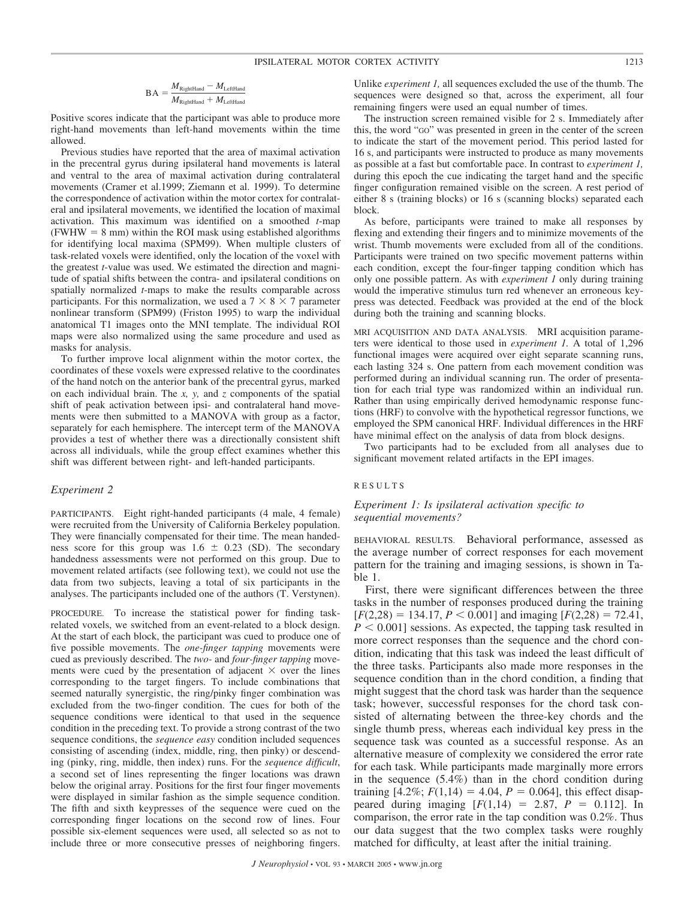$$
BA = \frac{M_{\text{RightHand}} - M_{\text{LeftHand}}}{M_{\text{RightHand}} + M_{\text{LeftHand}}}
$$

Positive scores indicate that the participant was able to produce more right-hand movements than left-hand movements within the time allowed.

Previous studies have reported that the area of maximal activation in the precentral gyrus during ipsilateral hand movements is lateral and ventral to the area of maximal activation during contralateral movements (Cramer et al.1999; Ziemann et al. 1999). To determine the correspondence of activation within the motor cortex for contralateral and ipsilateral movements, we identified the location of maximal activation. This maximum was identified on a smoothed *t*-map  $(FWHW = 8$  mm) within the ROI mask using established algorithms for identifying local maxima (SPM99). When multiple clusters of task-related voxels were identified, only the location of the voxel with the greatest *t*-value was used. We estimated the direction and magnitude of spatial shifts between the contra- and ipsilateral conditions on spatially normalized *t*-maps to make the results comparable across participants. For this normalization, we used a  $7 \times 8 \times 7$  parameter nonlinear transform (SPM99) (Friston 1995) to warp the individual anatomical T1 images onto the MNI template. The individual ROI maps were also normalized using the same procedure and used as masks for analysis.

To further improve local alignment within the motor cortex, the coordinates of these voxels were expressed relative to the coordinates of the hand notch on the anterior bank of the precentral gyrus, marked on each individual brain. The *x, y,* and *z* components of the spatial shift of peak activation between ipsi- and contralateral hand movements were then submitted to a MANOVA with group as a factor, separately for each hemisphere. The intercept term of the MANOVA provides a test of whether there was a directionally consistent shift across all individuals, while the group effect examines whether this shift was different between right- and left-handed participants.

#### *Experiment 2*

PARTICIPANTS. Eight right-handed participants (4 male, 4 female) were recruited from the University of California Berkeley population. They were financially compensated for their time. The mean handedness score for this group was  $1.6 \pm 0.23$  (SD). The secondary handedness assessments were not performed on this group. Due to movement related artifacts (see following text), we could not use the data from two subjects, leaving a total of six participants in the analyses. The participants included one of the authors (T. Verstynen).

PROCEDURE. To increase the statistical power for finding taskrelated voxels, we switched from an event-related to a block design. At the start of each block, the participant was cued to produce one of five possible movements. The *one-finger tapping* movements were cued as previously described. The *two-* and *four-finger tapping* movements were cued by the presentation of adjacent  $\times$  over the lines corresponding to the target fingers. To include combinations that seemed naturally synergistic, the ring/pinky finger combination was excluded from the two-finger condition. The cues for both of the sequence conditions were identical to that used in the sequence condition in the preceding text. To provide a strong contrast of the two sequence conditions, the *sequence easy* condition included sequences consisting of ascending (index, middle, ring, then pinky) or descending (pinky, ring, middle, then index) runs. For the *sequence difficult*, a second set of lines representing the finger locations was drawn below the original array. Positions for the first four finger movements were displayed in similar fashion as the simple sequence condition. The fifth and sixth keypresses of the sequence were cued on the corresponding finger locations on the second row of lines. Four possible six-element sequences were used, all selected so as not to include three or more consecutive presses of neighboring fingers. Unlike *experiment 1,* all sequences excluded the use of the thumb. The sequences were designed so that, across the experiment, all four remaining fingers were used an equal number of times.

The instruction screen remained visible for 2 s. Immediately after this, the word "GO" was presented in green in the center of the screen to indicate the start of the movement period. This period lasted for 16 s, and participants were instructed to produce as many movements as possible at a fast but comfortable pace. In contrast to *experiment 1,* during this epoch the cue indicating the target hand and the specific finger configuration remained visible on the screen. A rest period of either 8 s (training blocks) or 16 s (scanning blocks) separated each block.

As before, participants were trained to make all responses by flexing and extending their fingers and to minimize movements of the wrist. Thumb movements were excluded from all of the conditions. Participants were trained on two specific movement patterns within each condition, except the four-finger tapping condition which has only one possible pattern. As with *experiment 1* only during training would the imperative stimulus turn red whenever an erroneous keypress was detected. Feedback was provided at the end of the block during both the training and scanning blocks.

MRI ACQUISITION AND DATA ANALYSIS. MRI acquisition parameters were identical to those used in *experiment 1.* A total of 1,296 functional images were acquired over eight separate scanning runs, each lasting 324 s. One pattern from each movement condition was performed during an individual scanning run. The order of presentation for each trial type was randomized within an individual run. Rather than using empirically derived hemodynamic response functions (HRF) to convolve with the hypothetical regressor functions, we employed the SPM canonical HRF. Individual differences in the HRF have minimal effect on the analysis of data from block designs.

Two participants had to be excluded from all analyses due to significant movement related artifacts in the EPI images.

## RESULTS

## *Experiment 1: Is ipsilateral activation specific to sequential movements?*

BEHAVIORAL RESULTS. Behavioral performance, assessed as the average number of correct responses for each movement pattern for the training and imaging sessions, is shown in Table 1.

First, there were significant differences between the three tasks in the number of responses produced during the training  $[F(2,28) = 134.17, P \le 0.001]$  and imaging  $[F(2,28) = 72.41,$  $P < 0.001$ ] sessions. As expected, the tapping task resulted in more correct responses than the sequence and the chord condition, indicating that this task was indeed the least difficult of the three tasks. Participants also made more responses in the sequence condition than in the chord condition, a finding that might suggest that the chord task was harder than the sequence task; however, successful responses for the chord task consisted of alternating between the three-key chords and the single thumb press, whereas each individual key press in the sequence task was counted as a successful response. As an alternative measure of complexity we considered the error rate for each task. While participants made marginally more errors in the sequence (5.4%) than in the chord condition during training  $[4.2\%; F(1,14) = 4.04, P = 0.064]$ , this effect disappeared during imaging  $[F(1,14) = 2.87, P = 0.112]$ . In comparison, the error rate in the tap condition was 0.2%. Thus our data suggest that the two complex tasks were roughly matched for difficulty, at least after the initial training.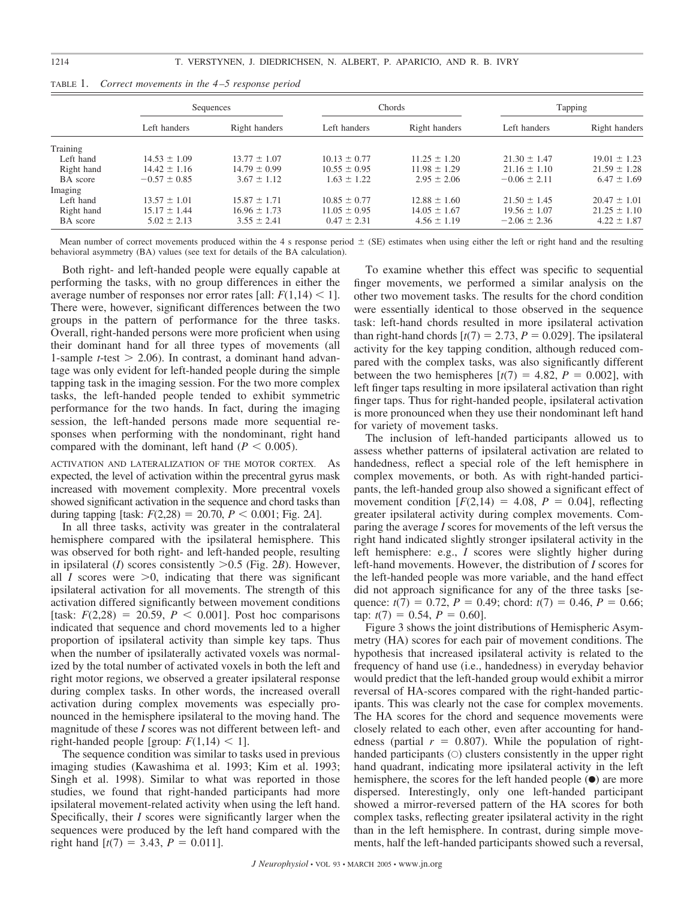|                 | Sequences        |                  | Chords           |                  | Tapping          |                  |
|-----------------|------------------|------------------|------------------|------------------|------------------|------------------|
|                 | Left handers     | Right handers    | Left handers     | Right handers    | Left handers     | Right handers    |
| Training        |                  |                  |                  |                  |                  |                  |
| Left hand       | $14.53 \pm 1.09$ | $13.77 \pm 1.07$ | $10.13 \pm 0.77$ | $11.25 \pm 1.20$ | $21.30 \pm 1.47$ | $19.01 \pm 1.23$ |
| Right hand      | $14.42 \pm 1.16$ | $14.79 \pm 0.99$ | $10.55 \pm 0.95$ | $11.98 \pm 1.29$ | $21.16 \pm 1.10$ | $21.59 \pm 1.28$ |
| <b>BA</b> score | $-0.57 \pm 0.85$ | $3.67 \pm 1.12$  | $1.63 \pm 1.22$  | $2.95 \pm 2.06$  | $-0.06 \pm 2.11$ | $6.47 \pm 1.69$  |
| Imaging         |                  |                  |                  |                  |                  |                  |
| Left hand       | $13.57 \pm 1.01$ | $15.87 \pm 1.71$ | $10.85 \pm 0.77$ | $12.88 \pm 1.60$ | $21.50 \pm 1.45$ | $20.47 \pm 1.01$ |
| Right hand      | $15.17 \pm 1.44$ | $16.96 \pm 1.73$ | $11.05 \pm 0.95$ | $14.05 \pm 1.67$ | $19.56 \pm 1.07$ | $21.25 \pm 1.10$ |
| <b>BA</b> score | $5.02 \pm 2.13$  | $3.55 \pm 2.41$  | $0.47 \pm 2.31$  | $4.56 \pm 1.19$  | $-2.06 \pm 2.36$ | $4.22 \pm 1.87$  |

|  |  | TABLE 1. Correct movements in the 4-5 response period |  |  |  |  |  |
|--|--|-------------------------------------------------------|--|--|--|--|--|
|--|--|-------------------------------------------------------|--|--|--|--|--|

Mean number of correct movements produced within the 4 s response period  $\pm$  (SE) estimates when using either the left or right hand and the resulting behavioral asymmetry (BA) values (see text for details of the BA calculation).

Both right- and left-handed people were equally capable at performing the tasks, with no group differences in either the average number of responses nor error rates [all:  $F(1,14) < 1$ ]. There were, however, significant differences between the two groups in the pattern of performance for the three tasks. Overall, right-handed persons were more proficient when using their dominant hand for all three types of movements (all 1-sample  $t$ -test  $> 2.06$ ). In contrast, a dominant hand advantage was only evident for left-handed people during the simple tapping task in the imaging session. For the two more complex tasks, the left-handed people tended to exhibit symmetric performance for the two hands. In fact, during the imaging session, the left-handed persons made more sequential responses when performing with the nondominant, right hand compared with the dominant, left hand  $(P < 0.005)$ .

ACTIVATION AND LATERALIZATION OF THE MOTOR CORTEX. As expected, the level of activation within the precentral gyrus mask increased with movement complexity. More precentral voxels showed significant activation in the sequence and chord tasks than during tapping [task:  $F(2,28) = 20.70$ ,  $P \le 0.001$ ; Fig. 2*A*].

In all three tasks, activity was greater in the contralateral hemisphere compared with the ipsilateral hemisphere. This was observed for both right- and left-handed people, resulting in ipsilateral (*I*) scores consistently  $> 0.5$  (Fig. 2*B*). However, all *I* scores were  $\geq 0$ , indicating that there was significant ipsilateral activation for all movements. The strength of this activation differed significantly between movement conditions [task:  $F(2,28) = 20.59$ ,  $P < 0.001$ ]. Post hoc comparisons indicated that sequence and chord movements led to a higher proportion of ipsilateral activity than simple key taps. Thus when the number of ipsilaterally activated voxels was normalized by the total number of activated voxels in both the left and right motor regions, we observed a greater ipsilateral response during complex tasks. In other words, the increased overall activation during complex movements was especially pronounced in the hemisphere ipsilateral to the moving hand. The magnitude of these *I* scores was not different between left- and right-handed people [group:  $F(1,14) < 1$ ].

The sequence condition was similar to tasks used in previous imaging studies (Kawashima et al. 1993; Kim et al. 1993; Singh et al. 1998). Similar to what was reported in those studies, we found that right-handed participants had more ipsilateral movement-related activity when using the left hand. Specifically, their *I* scores were significantly larger when the sequences were produced by the left hand compared with the right hand  $[t(7) = 3.43, P = 0.011]$ .

To examine whether this effect was specific to sequential finger movements, we performed a similar analysis on the other two movement tasks. The results for the chord condition were essentially identical to those observed in the sequence task: left-hand chords resulted in more ipsilateral activation than right-hand chords  $[t(7) = 2.73, P = 0.029]$ . The ipsilateral activity for the key tapping condition, although reduced compared with the complex tasks, was also significantly different between the two hemispheres  $[t(7) = 4.82, P = 0.002]$ , with left finger taps resulting in more ipsilateral activation than right finger taps. Thus for right-handed people, ipsilateral activation is more pronounced when they use their nondominant left hand for variety of movement tasks.

The inclusion of left-handed participants allowed us to assess whether patterns of ipsilateral activation are related to handedness, reflect a special role of the left hemisphere in complex movements, or both. As with right-handed participants, the left-handed group also showed a significant effect of movement condition  $[F(2,14) = 4.08, P = 0.04]$ , reflecting greater ipsilateral activity during complex movements. Comparing the average *I* scores for movements of the left versus the right hand indicated slightly stronger ipsilateral activity in the left hemisphere: e.g., *I* scores were slightly higher during left-hand movements. However, the distribution of *I* scores for the left-handed people was more variable, and the hand effect did not approach significance for any of the three tasks [sequence:  $t(7) = 0.72$ ,  $P = 0.49$ ; chord:  $t(7) = 0.46$ ,  $P = 0.66$ ;  $tan: t(7) = 0.54, P = 0.60$ .

Figure 3 shows the joint distributions of Hemispheric Asymmetry (HA) scores for each pair of movement conditions. The hypothesis that increased ipsilateral activity is related to the frequency of hand use (i.e., handedness) in everyday behavior would predict that the left-handed group would exhibit a mirror reversal of HA-scores compared with the right-handed participants. This was clearly not the case for complex movements. The HA scores for the chord and sequence movements were closely related to each other, even after accounting for handedness (partial  $r = 0.807$ ). While the population of righthanded participants  $(0)$  clusters consistently in the upper right hand quadrant, indicating more ipsilateral activity in the left hemisphere, the scores for the left handed people  $(\bullet)$  are more dispersed. Interestingly, only one left-handed participant showed a mirror-reversed pattern of the HA scores for both complex tasks, reflecting greater ipsilateral activity in the right than in the left hemisphere. In contrast, during simple movements, half the left-handed participants showed such a reversal,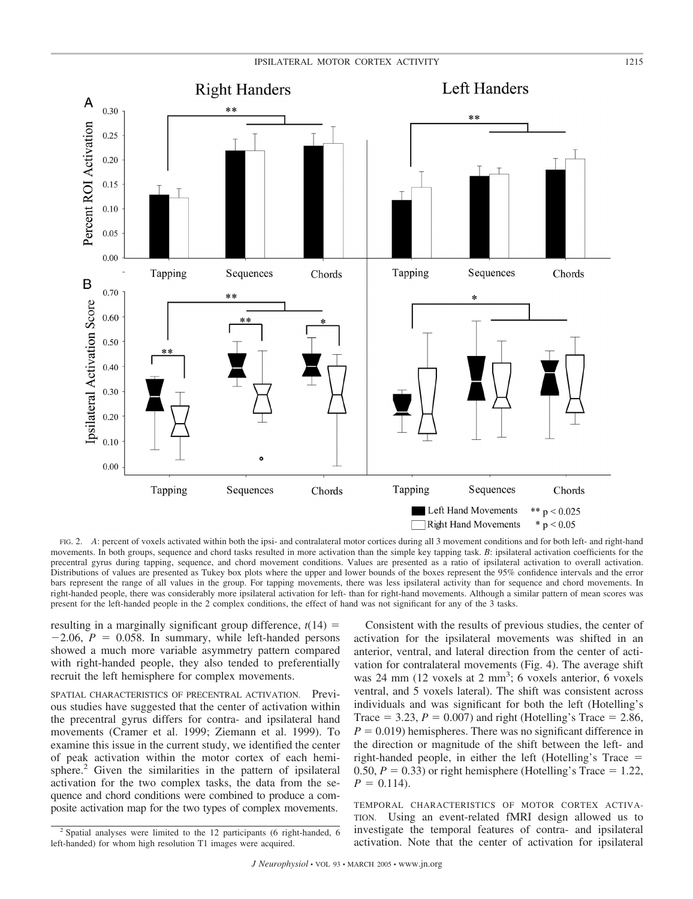

FIG. 2. *A*: percent of voxels activated within both the ipsi- and contralateral motor cortices during all 3 movement conditions and for both left- and right-hand movements. In both groups, sequence and chord tasks resulted in more activation than the simple key tapping task. *B*: ipsilateral activation coefficients for the precentral gyrus during tapping, sequence, and chord movement conditions. Values are presented as a ratio of ipsilateral activation to overall activation. Distributions of values are presented as Tukey box plots where the upper and lower bounds of the boxes represent the 95% confidence intervals and the error bars represent the range of all values in the group. For tapping movements, there was less ipsilateral activity than for sequence and chord movements. In right-handed people, there was considerably more ipsilateral activation for left- than for right-hand movements. Although a similar pattern of mean scores was present for the left-handed people in the 2 complex conditions, the effect of hand was not significant for any of the 3 tasks.

resulting in a marginally significant group difference,  $t(14)$  =  $-2.06$ ,  $P = 0.058$ . In summary, while left-handed persons showed a much more variable asymmetry pattern compared with right-handed people, they also tended to preferentially recruit the left hemisphere for complex movements.

SPATIAL CHARACTERISTICS OF PRECENTRAL ACTIVATION. Previous studies have suggested that the center of activation within the precentral gyrus differs for contra- and ipsilateral hand movements (Cramer et al. 1999; Ziemann et al. 1999). To examine this issue in the current study, we identified the center of peak activation within the motor cortex of each hemisphere.<sup>2</sup> Given the similarities in the pattern of ipsilateral activation for the two complex tasks, the data from the sequence and chord conditions were combined to produce a composite activation map for the two types of complex movements.

Consistent with the results of previous studies, the center of activation for the ipsilateral movements was shifted in an anterior, ventral, and lateral direction from the center of activation for contralateral movements (Fig. 4). The average shift was 24 mm (12 voxels at 2 mm<sup>3</sup>; 6 voxels anterior, 6 voxels ventral, and 5 voxels lateral). The shift was consistent across individuals and was significant for both the left (Hotelling's Trace  $= 3.23$ ,  $P = 0.007$ ) and right (Hotelling's Trace  $= 2.86$ ,  $P = 0.019$ ) hemispheres. There was no significant difference in the direction or magnitude of the shift between the left- and right-handed people, in either the left (Hotelling's Trace 0.50,  $P = 0.33$ ) or right hemisphere (Hotelling's Trace  $= 1.22$ ,  $P = 0.114$ .

TEMPORAL CHARACTERISTICS OF MOTOR CORTEX ACTIVA-TION. Using an event-related fMRI design allowed us to investigate the temporal features of contra- and ipsilateral activation. Note that the center of activation for ipsilateral

 $2$  Spatial analyses were limited to the 12 participants (6 right-handed, 6 left-handed) for whom high resolution T1 images were acquired.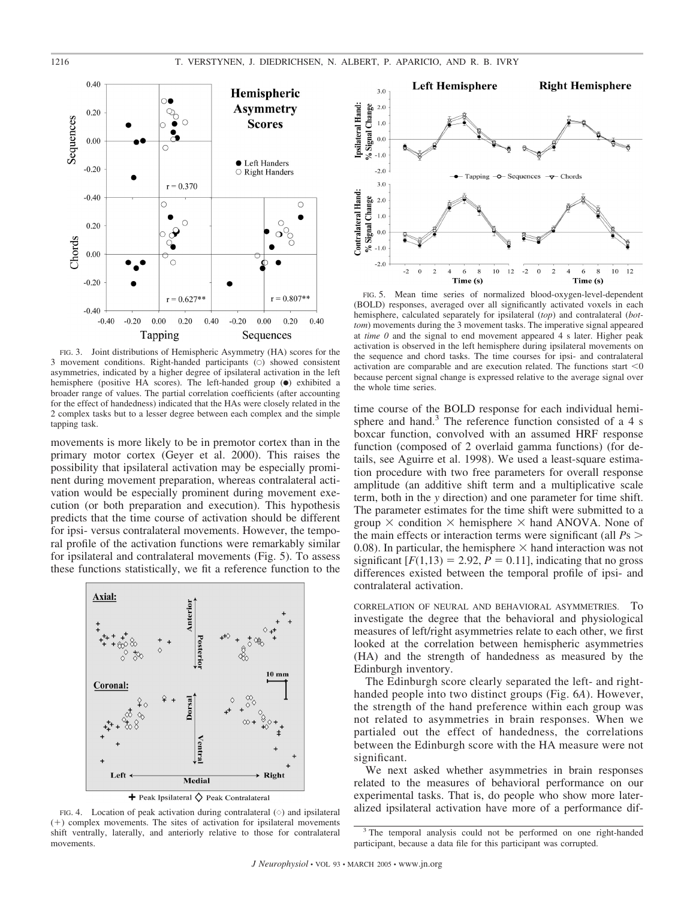

FIG. 3. Joint distributions of Hemispheric Asymmetry (HA) scores for the 3 movement conditions. Right-handed participants (O) showed consistent asymmetries, indicated by a higher degree of ipsilateral activation in the left hemisphere (positive HA scores). The left-handed group  $(\bullet)$  exhibited a broader range of values. The partial correlation coefficients (after accounting for the effect of handedness) indicated that the HAs were closely related in the 2 complex tasks but to a lesser degree between each complex and the simple tapping task.

movements is more likely to be in premotor cortex than in the primary motor cortex (Geyer et al. 2000). This raises the possibility that ipsilateral activation may be especially prominent during movement preparation, whereas contralateral activation would be especially prominent during movement execution (or both preparation and execution). This hypothesis predicts that the time course of activation should be different for ipsi- versus contralateral movements. However, the temporal profile of the activation functions were remarkably similar for ipsilateral and contralateral movements (Fig. 5). To assess these functions statistically, we fit a reference function to the



FIG. 4. Location of peak activation during contralateral  $(\diamond)$  and ipsilateral (-) complex movements. The sites of activation for ipsilateral movements shift ventrally, laterally, and anteriorly relative to those for contralateral movements.



FIG. 5. Mean time series of normalized blood-oxygen-level-dependent (BOLD) responses, averaged over all significantly activated voxels in each hemisphere, calculated separately for ipsilateral (*top*) and contralateral (*bottom*) movements during the 3 movement tasks. The imperative signal appeared at *time 0* and the signal to end movement appeared 4 s later. Higher peak activation is observed in the left hemisphere during ipsilateral movements on the sequence and chord tasks. The time courses for ipsi- and contralateral activation are comparable and are execution related. The functions start  $\leq 0$ because percent signal change is expressed relative to the average signal over the whole time series.

time course of the BOLD response for each individual hemisphere and hand.<sup>3</sup> The reference function consisted of a 4 s boxcar function, convolved with an assumed HRF response function (composed of 2 overlaid gamma functions) (for details, see Aguirre et al. 1998). We used a least-square estimation procedure with two free parameters for overall response amplitude (an additive shift term and a multiplicative scale term, both in the *y* direction) and one parameter for time shift. The parameter estimates for the time shift were submitted to a group  $\times$  condition  $\times$  hemisphere  $\times$  hand ANOVA. None of the main effects or interaction terms were significant (all *P*s 0.08). In particular, the hemisphere  $\times$  hand interaction was not significant  $[F(1,13) = 2.92, P = 0.11]$ , indicating that no gross differences existed between the temporal profile of ipsi- and contralateral activation.

CORRELATION OF NEURAL AND BEHAVIORAL ASYMMETRIES. To investigate the degree that the behavioral and physiological measures of left/right asymmetries relate to each other, we first looked at the correlation between hemispheric asymmetries (HA) and the strength of handedness as measured by the Edinburgh inventory.

The Edinburgh score clearly separated the left- and righthanded people into two distinct groups (Fig. 6*A*). However, the strength of the hand preference within each group was not related to asymmetries in brain responses. When we partialed out the effect of handedness, the correlations between the Edinburgh score with the HA measure were not significant.

We next asked whether asymmetries in brain responses related to the measures of behavioral performance on our experimental tasks. That is, do people who show more lateralized ipsilateral activation have more of a performance dif-

<sup>&</sup>lt;sup>3</sup> The temporal analysis could not be performed on one right-handed participant, because a data file for this participant was corrupted.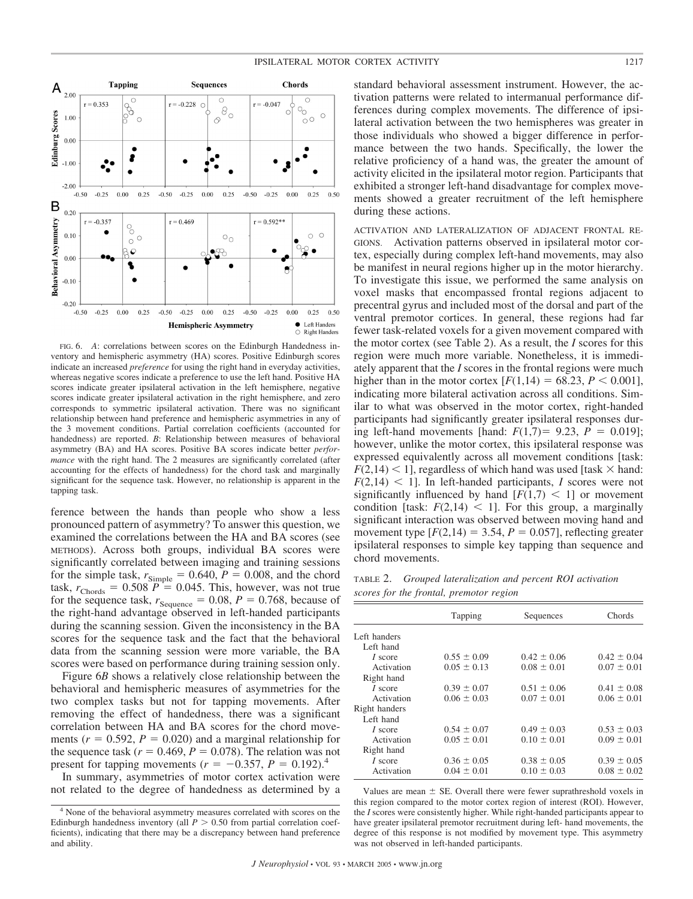

FIG. 6. *A*: correlations between scores on the Edinburgh Handedness inventory and hemispheric asymmetry (HA) scores. Positive Edinburgh scores indicate an increased *preference* for using the right hand in everyday activities, whereas negative scores indicate a preference to use the left hand. Positive HA scores indicate greater ipsilateral activation in the left hemisphere, negative scores indicate greater ipsilateral activation in the right hemisphere, and zero corresponds to symmetric ipsilateral activation. There was no significant relationship between hand preference and hemispheric asymmetries in any of the 3 movement conditions. Partial correlation coefficients (accounted for handedness) are reported. *B*: Relationship between measures of behavioral asymmetry (BA) and HA scores. Positive BA scores indicate better *performance* with the right hand. The 2 measures are significantly correlated (after accounting for the effects of handedness) for the chord task and marginally significant for the sequence task. However, no relationship is apparent in the tapping task.

ference between the hands than people who show a less pronounced pattern of asymmetry? To answer this question, we examined the correlations between the HA and BA scores (see METHODS). Across both groups, individual BA scores were significantly correlated between imaging and training sessions for the simple task,  $r_{Simple} = 0.640$ ,  $P = 0.008$ , and the chord task,  $r_{Chords} = 0.508$  *P* = 0.045. This, however, was not true for the sequence task,  $r_{\text{Sequence}} = 0.08$ ,  $P = 0.768$ , because of the right-hand advantage observed in left-handed participants during the scanning session. Given the inconsistency in the BA scores for the sequence task and the fact that the behavioral data from the scanning session were more variable, the BA scores were based on performance during training session only.

Figure 6*B* shows a relatively close relationship between the behavioral and hemispheric measures of asymmetries for the two complex tasks but not for tapping movements. After removing the effect of handedness, there was a significant correlation between HA and BA scores for the chord movements  $(r = 0.592, P = 0.020)$  and a marginal relationship for the sequence task ( $r = 0.469$ ,  $P = 0.078$ ). The relation was not present for tapping movements ( $r = -0.357$ ,  $P = 0.192$ ).<sup>4</sup>

In summary, asymmetries of motor cortex activation were not related to the degree of handedness as determined by a standard behavioral assessment instrument. However, the activation patterns were related to intermanual performance differences during complex movements. The difference of ipsilateral activation between the two hemispheres was greater in those individuals who showed a bigger difference in performance between the two hands. Specifically, the lower the relative proficiency of a hand was, the greater the amount of activity elicited in the ipsilateral motor region. Participants that exhibited a stronger left-hand disadvantage for complex movements showed a greater recruitment of the left hemisphere during these actions.

ACTIVATION AND LATERALIZATION OF ADJACENT FRONTAL RE-GIONS. Activation patterns observed in ipsilateral motor cortex, especially during complex left-hand movements, may also be manifest in neural regions higher up in the motor hierarchy. To investigate this issue, we performed the same analysis on voxel masks that encompassed frontal regions adjacent to precentral gyrus and included most of the dorsal and part of the ventral premotor cortices. In general, these regions had far fewer task-related voxels for a given movement compared with the motor cortex (see Table 2). As a result, the *I* scores for this region were much more variable. Nonetheless, it is immediately apparent that the *I* scores in the frontal regions were much higher than in the motor cortex  $[F(1,14) = 68.23, P \le 0.001]$ , indicating more bilateral activation across all conditions. Similar to what was observed in the motor cortex, right-handed participants had significantly greater ipsilateral responses during left-hand movements [hand:  $F(1,7) = 9.23$ ,  $P = 0.019$ ]; however, unlike the motor cortex, this ipsilateral response was expressed equivalently across all movement conditions [task:  $F(2,14)$  < 1], regardless of which hand was used [task  $\times$  hand:  $F(2,14)$  < 1]. In left-handed participants, *I* scores were not significantly influenced by hand  $[F(1,7) < 1]$  or movement condition [task:  $F(2,14) < 1$ ]. For this group, a marginally significant interaction was observed between moving hand and movement type  $[F(2,14) = 3.54, P = 0.057]$ , reflecting greater ipsilateral responses to simple key tapping than sequence and chord movements.

TABLE 2. *Grouped lateralization and percent ROI activation scores for the frontal, premotor region*

|               | Tapping         | Sequences       | <b>Chords</b>   |
|---------------|-----------------|-----------------|-----------------|
| Left handers  |                 |                 |                 |
| Left hand     |                 |                 |                 |
| I score       | $0.55 \pm 0.09$ | $0.42 \pm 0.06$ | $0.42 \pm 0.04$ |
| Activation    | $0.05 \pm 0.13$ | $0.08 \pm 0.01$ | $0.07 \pm 0.01$ |
| Right hand    |                 |                 |                 |
| I score       | $0.39 \pm 0.07$ | $0.51 \pm 0.06$ | $0.41 \pm 0.08$ |
| Activation    | $0.06 \pm 0.03$ | $0.07 \pm 0.01$ | $0.06 \pm 0.01$ |
| Right handers |                 |                 |                 |
| Left hand     |                 |                 |                 |
| I score       | $0.54 \pm 0.07$ | $0.49 \pm 0.03$ | $0.53 \pm 0.03$ |
| Activation    | $0.05 \pm 0.01$ | $0.10 \pm 0.01$ | $0.09 \pm 0.01$ |
| Right hand    |                 |                 |                 |
| I score       | $0.36 \pm 0.05$ | $0.38 \pm 0.05$ | $0.39 \pm 0.05$ |
| Activation    | $0.04 \pm 0.01$ | $0.10 \pm 0.03$ | $0.08 \pm 0.02$ |

Values are mean  $\pm$  SE. Overall there were fewer suprathreshold voxels in this region compared to the motor cortex region of interest (ROI). However, the *I* scores were consistently higher. While right-handed participants appear to have greater ipsilateral premotor recruitment during left- hand movements, the degree of this response is not modified by movement type. This asymmetry was not observed in left-handed participants.

<sup>&</sup>lt;sup>4</sup> None of the behavioral asymmetry measures correlated with scores on the Edinburgh handedness inventory (all  $P > 0.50$  from partial correlation coefficients), indicating that there may be a discrepancy between hand preference and ability.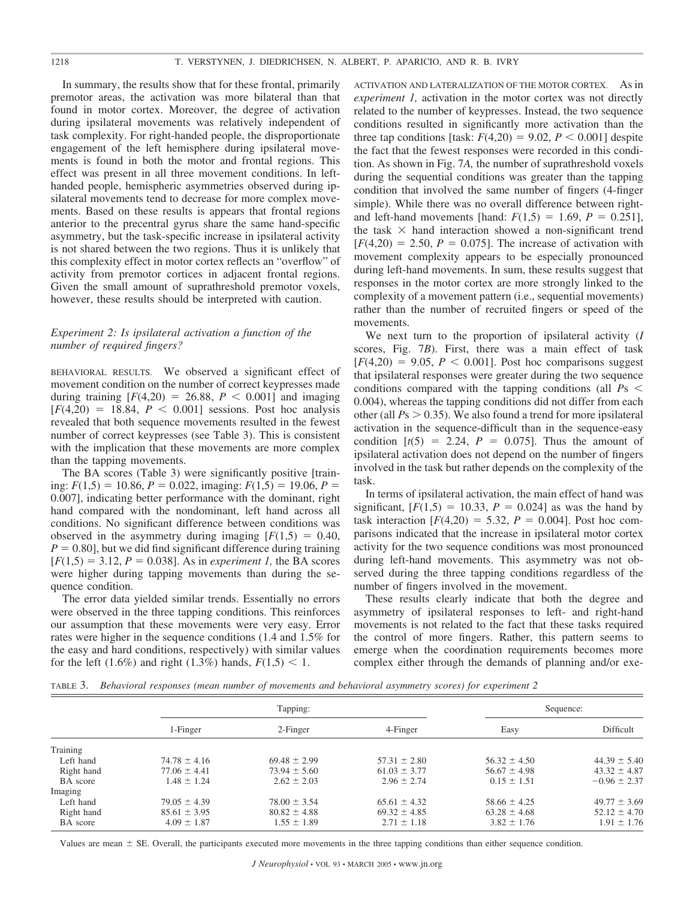In summary, the results show that for these frontal, primarily premotor areas, the activation was more bilateral than that found in motor cortex. Moreover, the degree of activation during ipsilateral movements was relatively independent of task complexity. For right-handed people, the disproportionate engagement of the left hemisphere during ipsilateral movements is found in both the motor and frontal regions. This effect was present in all three movement conditions. In lefthanded people, hemispheric asymmetries observed during ipsilateral movements tend to decrease for more complex movements. Based on these results is appears that frontal regions anterior to the precentral gyrus share the same hand-specific asymmetry, but the task-specific increase in ipsilateral activity is not shared between the two regions. Thus it is unlikely that this complexity effect in motor cortex reflects an "overflow" of activity from premotor cortices in adjacent frontal regions. Given the small amount of suprathreshold premotor voxels, however, these results should be interpreted with caution.

# *Experiment 2: Is ipsilateral activation a function of the number of required fingers?*

BEHAVIORAL RESULTS. We observed a significant effect of movement condition on the number of correct keypresses made during training  $[F(4,20) = 26.88, P < 0.001]$  and imaging  $[F(4,20) = 18.84, P < 0.001]$  sessions. Post hoc analysis revealed that both sequence movements resulted in the fewest number of correct keypresses (see Table 3). This is consistent with the implication that these movements are more complex than the tapping movements.

The BA scores (Table 3) were significantly positive [training:  $F(1,5) = 10.86$ ,  $P = 0.022$ , imaging:  $F(1,5) = 19.06$ ,  $P =$ 0.007], indicating better performance with the dominant, right hand compared with the nondominant, left hand across all conditions. No significant difference between conditions was observed in the asymmetry during imaging  $[F(1,5) = 0.40]$ ,  $P = 0.80$ , but we did find significant difference during training  $[F(1,5) = 3.12, P = 0.038]$ . As in *experiment 1*, the BA scores were higher during tapping movements than during the sequence condition.

The error data yielded similar trends. Essentially no errors were observed in the three tapping conditions. This reinforces our assumption that these movements were very easy. Error rates were higher in the sequence conditions (1.4 and 1.5% for the easy and hard conditions, respectively) with similar values for the left  $(1.6\%)$  and right  $(1.3\%)$  hands,  $F(1,5) < 1$ .

ACTIVATION AND LATERALIZATION OF THE MOTOR CORTEX. As in *experiment 1,* activation in the motor cortex was not directly related to the number of keypresses. Instead, the two sequence conditions resulted in significantly more activation than the three tap conditions [task:  $F(4,20) = 9.02$ ,  $P < 0.001$ ] despite the fact that the fewest responses were recorded in this condition. As shown in Fig. 7*A,* the number of suprathreshold voxels during the sequential conditions was greater than the tapping condition that involved the same number of fingers (4-finger simple). While there was no overall difference between rightand left-hand movements [hand:  $F(1,5) = 1.69$ ,  $P = 0.251$ ], the task  $\times$  hand interaction showed a non-significant trend  $[F(4,20) = 2.50, P = 0.075]$ . The increase of activation with movement complexity appears to be especially pronounced during left-hand movements. In sum, these results suggest that responses in the motor cortex are more strongly linked to the complexity of a movement pattern (i.e., sequential movements) rather than the number of recruited fingers or speed of the movements.

We next turn to the proportion of ipsilateral activity (*I* scores, Fig. 7*B*). First, there was a main effect of task  $[F(4,20) = 9.05, P \le 0.001]$ . Post hoc comparisons suggest that ipsilateral responses were greater during the two sequence conditions compared with the tapping conditions (all *P*s 0.004), whereas the tapping conditions did not differ from each other (all  $Ps > 0.35$ ). We also found a trend for more ipsilateral activation in the sequence-difficult than in the sequence-easy condition  $[t(5) = 2.24, P = 0.075]$ . Thus the amount of ipsilateral activation does not depend on the number of fingers involved in the task but rather depends on the complexity of the task.

In terms of ipsilateral activation, the main effect of hand was significant,  $[F(1,5) = 10.33, P = 0.024]$  as was the hand by task interaction  $[F(4,20) = 5.32, P = 0.004]$ . Post hoc comparisons indicated that the increase in ipsilateral motor cortex activity for the two sequence conditions was most pronounced during left-hand movements. This asymmetry was not observed during the three tapping conditions regardless of the number of fingers involved in the movement.

These results clearly indicate that both the degree and asymmetry of ipsilateral responses to left- and right-hand movements is not related to the fact that these tasks required the control of more fingers. Rather, this pattern seems to emerge when the coordination requirements becomes more complex either through the demands of planning and/or exe-

TABLE 3. *Behavioral responses (mean number of movements and behavioral asymmetry scores) for experiment 2*

|                 | Tapping:         |                  |                  |                  | Sequence:        |  |
|-----------------|------------------|------------------|------------------|------------------|------------------|--|
|                 | 1-Finger         | 2-Finger         | 4-Finger         | Easy             | Difficult        |  |
| Training        |                  |                  |                  |                  |                  |  |
| Left hand       | $74.78 \pm 4.16$ | $69.48 \pm 2.99$ | $57.31 \pm 2.80$ | $56.32 \pm 4.50$ | $44.39 \pm 5.40$ |  |
| Right hand      | $77.06 \pm 4.41$ | $73.94 \pm 5.60$ | $61.03 \pm 3.77$ | $56.67 \pm 4.98$ | $43.32 \pm 4.87$ |  |
| <b>BA</b> score | $1.48 \pm 1.24$  | $2.62 \pm 2.03$  | $2.96 \pm 2.74$  | $0.15 \pm 1.51$  | $-0.96 \pm 2.37$ |  |
| Imaging         |                  |                  |                  |                  |                  |  |
| Left hand       | $79.05 \pm 4.39$ | $78.00 \pm 3.54$ | $65.61 \pm 4.32$ | $58.66 \pm 4.25$ | $49.77 \pm 3.69$ |  |
| Right hand      | $85.61 \pm 3.95$ | $80.82 \pm 4.88$ | $69.32 \pm 4.85$ | $63.28 \pm 4.68$ | $52.12 \pm 4.70$ |  |
| <b>BA</b> score | $4.09 \pm 1.87$  | $1.55 \pm 1.89$  | $2.71 \pm 1.18$  | $3.82 \pm 1.76$  | $1.91 \pm 1.76$  |  |

Values are mean  $\pm$  SE. Overall, the participants executed more movements in the three tapping conditions than either sequence condition.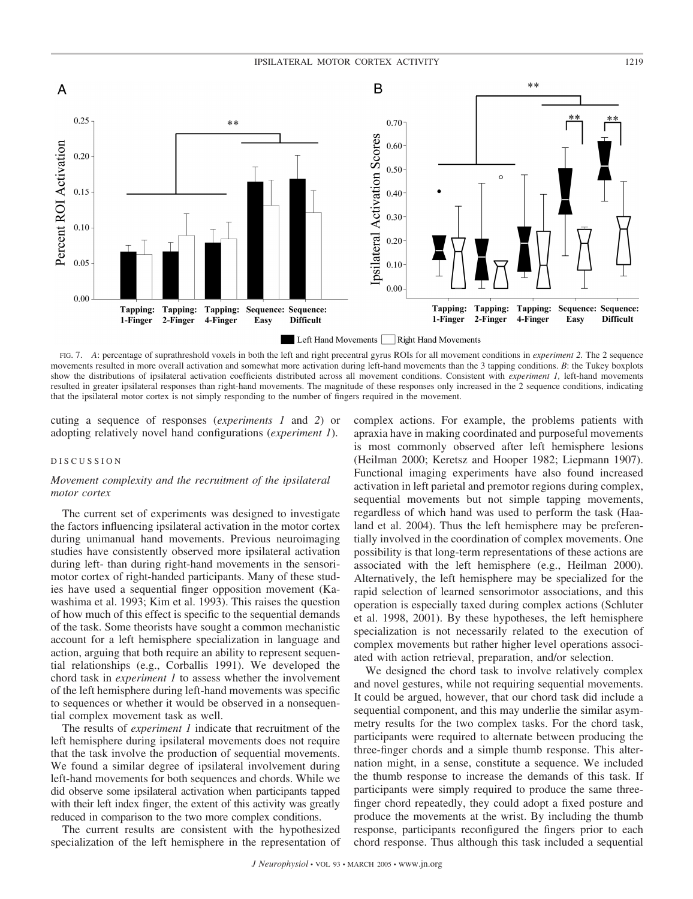

FIG. 7. *A*: percentage of suprathreshold voxels in both the left and right precentral gyrus ROIs for all movement conditions in *experiment 2.* The 2 sequence movements resulted in more overall activation and somewhat more activation during left-hand movements than the 3 tapping conditions. *B*: the Tukey boxplots show the distributions of ipsilateral activation coefficients distributed across all movement conditions. Consistent with *experiment 1,* left-hand movements resulted in greater ipsilateral responses than right-hand movements. The magnitude of these responses only increased in the 2 sequence conditions, indicating that the ipsilateral motor cortex is not simply responding to the number of fingers required in the movement.

cuting a sequence of responses (*experiments 1* and *2*) or adopting relatively novel hand configurations (*experiment 1*).

## DISCUSSION

# *Movement complexity and the recruitment of the ipsilateral motor cortex*

The current set of experiments was designed to investigate the factors influencing ipsilateral activation in the motor cortex during unimanual hand movements. Previous neuroimaging studies have consistently observed more ipsilateral activation during left- than during right-hand movements in the sensorimotor cortex of right-handed participants. Many of these studies have used a sequential finger opposition movement (Kawashima et al. 1993; Kim et al. 1993). This raises the question of how much of this effect is specific to the sequential demands of the task. Some theorists have sought a common mechanistic account for a left hemisphere specialization in language and action, arguing that both require an ability to represent sequential relationships (e.g., Corballis 1991). We developed the chord task in *experiment 1* to assess whether the involvement of the left hemisphere during left-hand movements was specific to sequences or whether it would be observed in a nonsequential complex movement task as well.

The results of *experiment 1* indicate that recruitment of the left hemisphere during ipsilateral movements does not require that the task involve the production of sequential movements. We found a similar degree of ipsilateral involvement during left-hand movements for both sequences and chords. While we did observe some ipsilateral activation when participants tapped with their left index finger, the extent of this activity was greatly reduced in comparison to the two more complex conditions.

The current results are consistent with the hypothesized specialization of the left hemisphere in the representation of complex actions. For example, the problems patients with apraxia have in making coordinated and purposeful movements is most commonly observed after left hemisphere lesions (Heilman 2000; Keretsz and Hooper 1982; Liepmann 1907). Functional imaging experiments have also found increased activation in left parietal and premotor regions during complex, sequential movements but not simple tapping movements, regardless of which hand was used to perform the task (Haaland et al. 2004). Thus the left hemisphere may be preferentially involved in the coordination of complex movements. One possibility is that long-term representations of these actions are associated with the left hemisphere (e.g., Heilman 2000). Alternatively, the left hemisphere may be specialized for the rapid selection of learned sensorimotor associations, and this operation is especially taxed during complex actions (Schluter et al. 1998, 2001). By these hypotheses, the left hemisphere specialization is not necessarily related to the execution of complex movements but rather higher level operations associated with action retrieval, preparation, and/or selection.

We designed the chord task to involve relatively complex and novel gestures, while not requiring sequential movements. It could be argued, however, that our chord task did include a sequential component, and this may underlie the similar asymmetry results for the two complex tasks. For the chord task, participants were required to alternate between producing the three-finger chords and a simple thumb response. This alternation might, in a sense, constitute a sequence. We included the thumb response to increase the demands of this task. If participants were simply required to produce the same threefinger chord repeatedly, they could adopt a fixed posture and produce the movements at the wrist. By including the thumb response, participants reconfigured the fingers prior to each chord response. Thus although this task included a sequential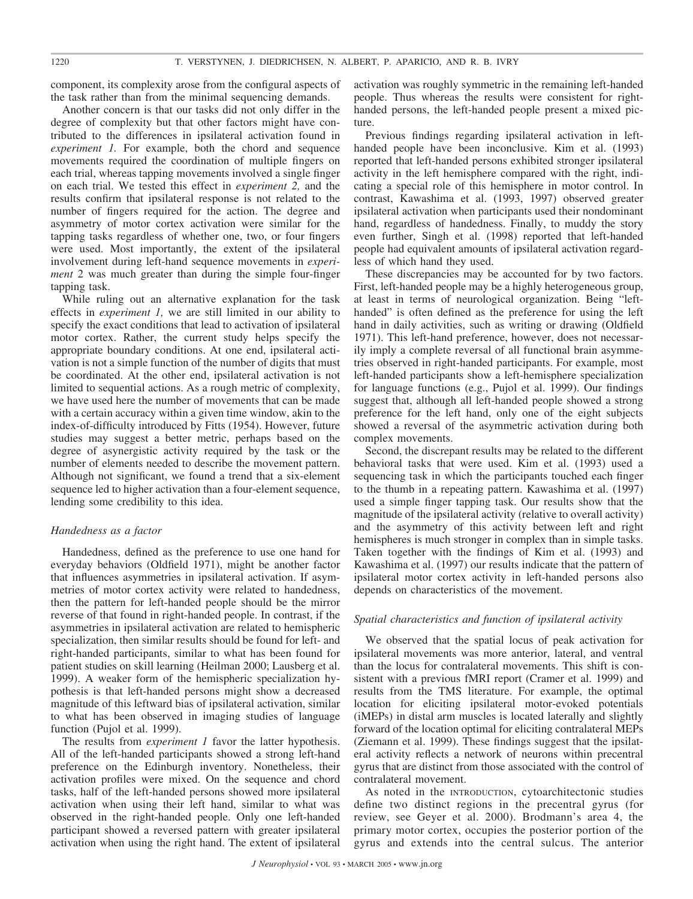component, its complexity arose from the configural aspects of the task rather than from the minimal sequencing demands.

Another concern is that our tasks did not only differ in the degree of complexity but that other factors might have contributed to the differences in ipsilateral activation found in *experiment 1.* For example, both the chord and sequence movements required the coordination of multiple fingers on each trial, whereas tapping movements involved a single finger on each trial. We tested this effect in *experiment 2,* and the results confirm that ipsilateral response is not related to the number of fingers required for the action. The degree and asymmetry of motor cortex activation were similar for the tapping tasks regardless of whether one, two, or four fingers were used. Most importantly, the extent of the ipsilateral involvement during left-hand sequence movements in *experiment* 2 was much greater than during the simple four-finger tapping task.

While ruling out an alternative explanation for the task effects in *experiment 1,* we are still limited in our ability to specify the exact conditions that lead to activation of ipsilateral motor cortex. Rather, the current study helps specify the appropriate boundary conditions. At one end, ipsilateral activation is not a simple function of the number of digits that must be coordinated. At the other end, ipsilateral activation is not limited to sequential actions. As a rough metric of complexity, we have used here the number of movements that can be made with a certain accuracy within a given time window, akin to the index-of-difficulty introduced by Fitts (1954). However, future studies may suggest a better metric, perhaps based on the degree of asynergistic activity required by the task or the number of elements needed to describe the movement pattern. Although not significant, we found a trend that a six-element sequence led to higher activation than a four-element sequence, lending some credibility to this idea.

# *Handedness as a factor*

Handedness, defined as the preference to use one hand for everyday behaviors (Oldfield 1971), might be another factor that influences asymmetries in ipsilateral activation. If asymmetries of motor cortex activity were related to handedness, then the pattern for left-handed people should be the mirror reverse of that found in right-handed people. In contrast, if the asymmetries in ipsilateral activation are related to hemispheric specialization, then similar results should be found for left- and right-handed participants, similar to what has been found for patient studies on skill learning (Heilman 2000; Lausberg et al. 1999). A weaker form of the hemispheric specialization hypothesis is that left-handed persons might show a decreased magnitude of this leftward bias of ipsilateral activation, similar to what has been observed in imaging studies of language function (Pujol et al. 1999).

The results from *experiment 1* favor the latter hypothesis. All of the left-handed participants showed a strong left-hand preference on the Edinburgh inventory. Nonetheless, their activation profiles were mixed. On the sequence and chord tasks, half of the left-handed persons showed more ipsilateral activation when using their left hand, similar to what was observed in the right-handed people. Only one left-handed participant showed a reversed pattern with greater ipsilateral activation when using the right hand. The extent of ipsilateral activation was roughly symmetric in the remaining left-handed people. Thus whereas the results were consistent for righthanded persons, the left-handed people present a mixed picture.

Previous findings regarding ipsilateral activation in lefthanded people have been inconclusive. Kim et al. (1993) reported that left-handed persons exhibited stronger ipsilateral activity in the left hemisphere compared with the right, indicating a special role of this hemisphere in motor control. In contrast, Kawashima et al. (1993, 1997) observed greater ipsilateral activation when participants used their nondominant hand, regardless of handedness. Finally, to muddy the story even further, Singh et al. (1998) reported that left-handed people had equivalent amounts of ipsilateral activation regardless of which hand they used.

These discrepancies may be accounted for by two factors. First, left-handed people may be a highly heterogeneous group, at least in terms of neurological organization. Being "lefthanded" is often defined as the preference for using the left hand in daily activities, such as writing or drawing (Oldfield 1971). This left-hand preference, however, does not necessarily imply a complete reversal of all functional brain asymmetries observed in right-handed participants. For example, most left-handed participants show a left-hemisphere specialization for language functions (e.g., Pujol et al. 1999). Our findings suggest that, although all left-handed people showed a strong preference for the left hand, only one of the eight subjects showed a reversal of the asymmetric activation during both complex movements.

Second, the discrepant results may be related to the different behavioral tasks that were used. Kim et al. (1993) used a sequencing task in which the participants touched each finger to the thumb in a repeating pattern. Kawashima et al. (1997) used a simple finger tapping task. Our results show that the magnitude of the ipsilateral activity (relative to overall activity) and the asymmetry of this activity between left and right hemispheres is much stronger in complex than in simple tasks. Taken together with the findings of Kim et al. (1993) and Kawashima et al. (1997) our results indicate that the pattern of ipsilateral motor cortex activity in left-handed persons also depends on characteristics of the movement.

#### *Spatial characteristics and function of ipsilateral activity*

We observed that the spatial locus of peak activation for ipsilateral movements was more anterior, lateral, and ventral than the locus for contralateral movements. This shift is consistent with a previous fMRI report (Cramer et al. 1999) and results from the TMS literature. For example, the optimal location for eliciting ipsilateral motor-evoked potentials (iMEPs) in distal arm muscles is located laterally and slightly forward of the location optimal for eliciting contralateral MEPs (Ziemann et al. 1999). These findings suggest that the ipsilateral activity reflects a network of neurons within precentral gyrus that are distinct from those associated with the control of contralateral movement.

As noted in the INTRODUCTION, cytoarchitectonic studies define two distinct regions in the precentral gyrus (for review, see Geyer et al. 2000). Brodmann's area 4, the primary motor cortex, occupies the posterior portion of the gyrus and extends into the central sulcus. The anterior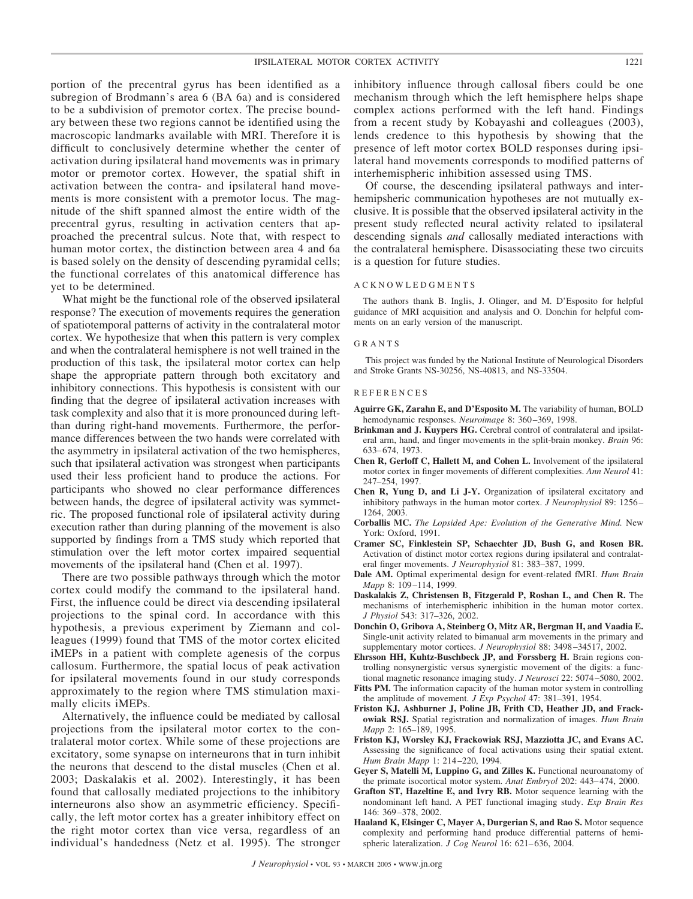portion of the precentral gyrus has been identified as a subregion of Brodmann's area 6 (BA 6a) and is considered to be a subdivision of premotor cortex. The precise boundary between these two regions cannot be identified using the macroscopic landmarks available with MRI. Therefore it is difficult to conclusively determine whether the center of activation during ipsilateral hand movements was in primary motor or premotor cortex. However, the spatial shift in activation between the contra- and ipsilateral hand movements is more consistent with a premotor locus. The magnitude of the shift spanned almost the entire width of the precentral gyrus, resulting in activation centers that approached the precentral sulcus. Note that, with respect to human motor cortex, the distinction between area 4 and 6a is based solely on the density of descending pyramidal cells; the functional correlates of this anatomical difference has yet to be determined.

What might be the functional role of the observed ipsilateral response? The execution of movements requires the generation of spatiotemporal patterns of activity in the contralateral motor cortex. We hypothesize that when this pattern is very complex and when the contralateral hemisphere is not well trained in the production of this task, the ipsilateral motor cortex can help shape the appropriate pattern through both excitatory and inhibitory connections. This hypothesis is consistent with our finding that the degree of ipsilateral activation increases with task complexity and also that it is more pronounced during leftthan during right-hand movements. Furthermore, the performance differences between the two hands were correlated with the asymmetry in ipsilateral activation of the two hemispheres, such that ipsilateral activation was strongest when participants used their less proficient hand to produce the actions. For participants who showed no clear performance differences between hands, the degree of ipsilateral activity was symmetric. The proposed functional role of ipsilateral activity during execution rather than during planning of the movement is also supported by findings from a TMS study which reported that stimulation over the left motor cortex impaired sequential movements of the ipsilateral hand (Chen et al. 1997).

There are two possible pathways through which the motor cortex could modify the command to the ipsilateral hand. First, the influence could be direct via descending ipsilateral projections to the spinal cord. In accordance with this hypothesis, a previous experiment by Ziemann and colleagues (1999) found that TMS of the motor cortex elicited iMEPs in a patient with complete agenesis of the corpus callosum. Furthermore, the spatial locus of peak activation for ipsilateral movements found in our study corresponds approximately to the region where TMS stimulation maximally elicits iMEPs.

Alternatively, the influence could be mediated by callosal projections from the ipsilateral motor cortex to the contralateral motor cortex. While some of these projections are excitatory, some synapse on interneurons that in turn inhibit the neurons that descend to the distal muscles (Chen et al. 2003; Daskalakis et al. 2002). Interestingly, it has been found that callosally mediated projections to the inhibitory interneurons also show an asymmetric efficiency. Specifically, the left motor cortex has a greater inhibitory effect on the right motor cortex than vice versa, regardless of an individual's handedness (Netz et al. 1995). The stronger inhibitory influence through callosal fibers could be one mechanism through which the left hemisphere helps shape complex actions performed with the left hand. Findings from a recent study by Kobayashi and colleagues (2003), lends credence to this hypothesis by showing that the presence of left motor cortex BOLD responses during ipsilateral hand movements corresponds to modified patterns of interhemispheric inhibition assessed using TMS.

Of course, the descending ipsilateral pathways and interhemipsheric communication hypotheses are not mutually exclusive. It is possible that the observed ipsilateral activity in the present study reflected neural activity related to ipsilateral descending signals *and* callosally mediated interactions with the contralateral hemisphere. Disassociating these two circuits is a question for future studies.

## ACKNOWLEDGMENTS

The authors thank B. Inglis, J. Olinger, and M. D'Esposito for helpful guidance of MRI acquisition and analysis and O. Donchin for helpful comments on an early version of the manuscript.

#### GRANTS

This project was funded by the National Institute of Neurological Disorders and Stroke Grants NS-30256, NS-40813, and NS-33504.

#### **REFERENCES**

- **Aguirre GK, Zarahn E, and D'Esposito M.** The variability of human, BOLD hemodynamic responses. *Neuroimage* 8: 360 –369, 1998.
- **Brinkman and J. Kuypers HG.** Cerebral control of contralateral and ipsilateral arm, hand, and finger movements in the split-brain monkey. *Brain* 96: 633– 674, 1973.
- **Chen R, Gerloff C, Hallett M, and Cohen L.** Involvement of the ipsilateral motor cortex in finger movements of different complexities. *Ann Neurol* 41: 247–254, 1997.
- **Chen R, Yung D, and Li J-Y.** Organization of ipsilateral excitatory and inhibitory pathways in the human motor cortex. *J Neurophysiol* 89: 1256 – 1264, 2003.
- **Corballis MC.** *The Lopsided Ape: Evolution of the Generative Mind.* New York: Oxford, 1991.
- **Cramer SC, Finklestein SP, Schaechter JD, Bush G, and Rosen BR.** Activation of distinct motor cortex regions during ipsilateral and contralateral finger movements. *J Neurophysiol* 81: 383–387, 1999.
- **Dale AM.** Optimal experimental design for event-related fMRI. *Hum Brain Mapp* 8: 109-114, 1999.
- **Daskalakis Z, Christensen B, Fitzgerald P, Roshan L, and Chen R.** The mechanisms of interhemispheric inhibition in the human motor cortex. *J Physiol* 543: 317–326, 2002.
- **Donchin O, Gribova A, Steinberg O, Mitz AR, Bergman H, and Vaadia E.** Single-unit activity related to bimanual arm movements in the primary and supplementary motor cortices. *J Neurophysiol* 88: 3498 –34517, 2002.
- **Ehrsson HH, Kuhtz-Buschbeck JP, and Forssberg H.** Brain regions controlling nonsynergistic versus synergistic movement of the digits: a functional magnetic resonance imaging study. *J Neurosci* 22: 5074 –5080, 2002.
- **Fitts PM.** The information capacity of the human motor system in controlling the amplitude of movement. *J Exp Psychol* 47: 381–391, 1954.
- **Friston KJ, Ashburner J, Poline JB, Frith CD, Heather JD, and Frackowiak RSJ.** Spatial registration and normalization of images. *Hum Brain Mapp* 2: 165–189, 1995.
- **Friston KJ, Worsley KJ, Frackowiak RSJ, Mazziotta JC, and Evans AC.** Assessing the significance of focal activations using their spatial extent. *Hum Brain Mapp* 1: 214 –220, 1994.
- **Geyer S, Matelli M, Luppino G, and Zilles K.** Functional neuroanatomy of the primate isocortical motor system. *Anat Embryol* 202: 443– 474, 2000.
- **Grafton ST, Hazeltine E, and Ivry RB.** Motor sequence learning with the nondominant left hand. A PET functional imaging study. *Exp Brain Res* 146: 369 –378, 2002.
- **Haaland K, Elsinger C, Mayer A, Durgerian S, and Rao S.** Motor sequence complexity and performing hand produce differential patterns of hemispheric lateralization. *J Cog Neurol* 16: 621–636, 2004.